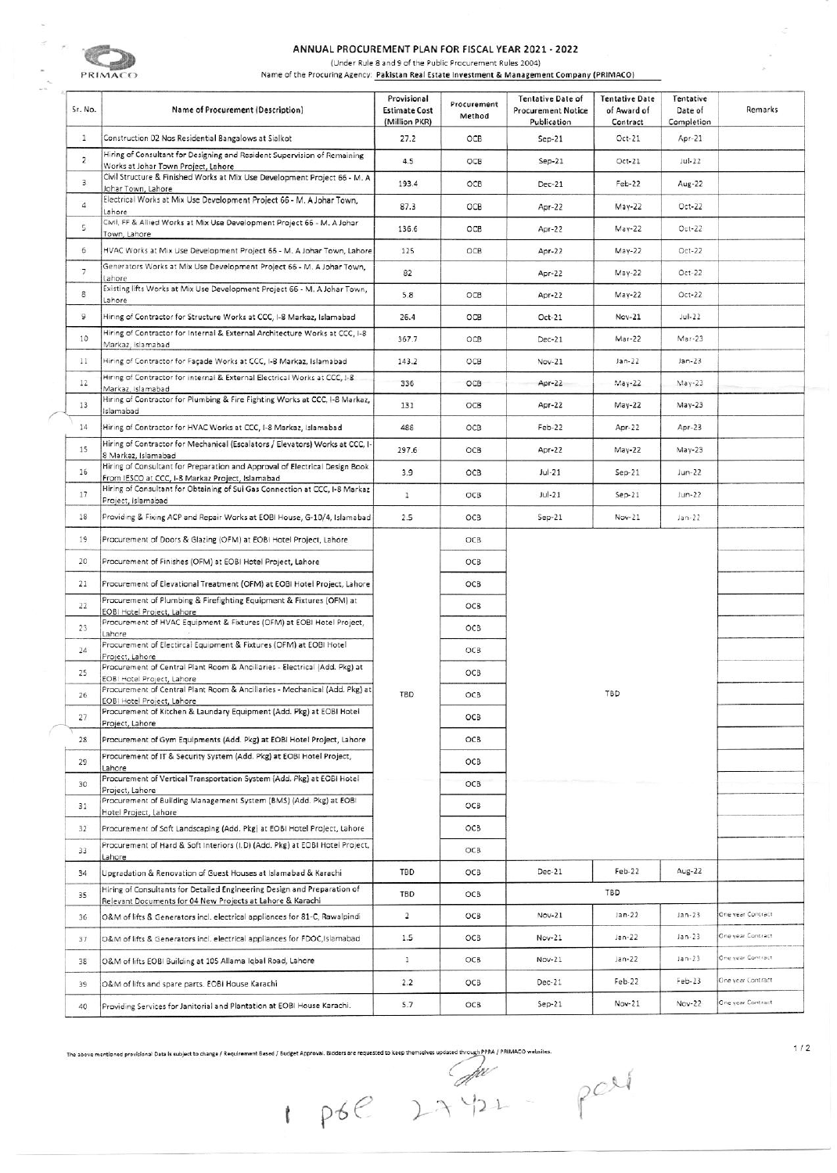

## ANNUAL PROCUREMENT PLAN FOR FISCAL YEAR 2021 - 2022

(Under Rule 8 and 9 of the Public Procurement Rules 2004)

Name of the Procuring Agency: Pakistan Real Estate Investment & Management Company (PRIMACO)

| Sr. No.                 | Name of Procurement (Description)                                                                                                      | Provisional<br><b>Estimate Cost</b><br>(Million PKR) | Procurement<br>Method | <b>Tentative Date of</b><br><b>Procurement Notice</b><br>Publication | <b>Tentative Date</b><br>of Award of<br>Contract | Tentative<br>Date of<br>Completion | Remarks           |
|-------------------------|----------------------------------------------------------------------------------------------------------------------------------------|------------------------------------------------------|-----------------------|----------------------------------------------------------------------|--------------------------------------------------|------------------------------------|-------------------|
| $\mathbf{1}$            | Construction 02 Nos Residential Bangalows at Sialkot                                                                                   | 27.2                                                 | OCB                   | $Sep-21$                                                             | Oct-21                                           | Apr-21                             |                   |
| $\overline{2}$          | Hiring of Consultant for Designing and Resident Supervision of Remaining<br>Works at Johar Town Project, Lahore                        | 4.5                                                  | OCB                   | $Sep-21$                                                             | $Oct-21$                                         | $Jul-22$                           |                   |
| $\overline{\mathbf{3}}$ | Civil Structure & Finished Works at Mix Use Development Project 66 - M. A<br>Johar Town, Lahore                                        | 193.4                                                | OCB                   | $Dec-21$                                                             | $Feb-22$                                         | Aug-22                             |                   |
| $\overline{4}$          | Electrical Works at Mix Use Development Project 66 - M. A Johar Town,<br>Lahore                                                        | 87.3                                                 | OCB                   | Apr-22                                                               | May-22                                           | Oct-22                             |                   |
| 5                       | Civil, FF & Allied Works at Mix Use Development Project 66 - M. A Johar<br>Town, Lahore                                                | 136.6                                                | OCB                   | Apr-22                                                               | $May-22$                                         | $Oct-22$                           |                   |
| 6 <sup>1</sup>          | HVAC Works at Mix Use Development Project 66 - M. A Johar Town, Lahore                                                                 | 125                                                  | OCB                   | Apr $-22$                                                            | $May-22$                                         | $Oct-22$                           |                   |
| 7                       | Generators Works at Mix Use Development Project 66 - M. A Johar Town,<br>ahore                                                         | 82                                                   |                       | Apr-22                                                               | $May-22$                                         | Oct-22                             |                   |
| $\mathbf 8$             | Existing lifts Works at Mix Use Development Project 66 - M. A Johar Town,<br>ahore                                                     | 5.8                                                  | OCB                   | Apr-22                                                               | $May-22$                                         | $Oct-22$                           |                   |
| 9                       | Hiring of Contractor for Structure Works at CCC, I-8 Markaz, Islamabad                                                                 | 26.4                                                 | OCB                   | Oct-21                                                               | $Nov-21$                                         | $Jul-22$                           |                   |
| 10                      | Hiring of Contractor for Internal & External Architecture Works at CCC, I-8<br>Markaz, Islamabad                                       | 367.7                                                | OCB                   | $Dec-21$                                                             | Mar-22                                           | $Mar-23$                           |                   |
| 11                      | Hiring of Contractor for Façade Works at CCC, I-8 Markaz, Islamabad                                                                    | 143.2                                                | OCB                   | Nov-21                                                               | $Jan-22$                                         | $Jan-23$                           |                   |
| 12                      | Hiring of Contractor for internal & External Electrical Works at CCC, I-8<br>Markaz, Islamabad                                         | 336                                                  | OCB                   | Apr $-22$                                                            | $May-22$                                         | $May-23$                           |                   |
| 13                      | Hiring of Contractor for Plumbing & Fire Fighting Works at CCC, I-8 Markaz,<br>Islamabad                                               | 131                                                  | OCB                   | Apr-22                                                               | $May-22$                                         | $May-23$                           |                   |
| 14                      | Hiring of Contractor for HVAC Works at CCC, I-8 Markaz, Islamabad                                                                      | 488                                                  | OCB                   | Feb-22                                                               | Apr-22                                           | $Apr-23$                           |                   |
| 15                      | Hiring of Contractor for Mechanical (Escalators / Elevators) Works at CCC, I-<br>8 Markaz, Islamabad                                   | 297.6                                                | OCB                   | Apr-22                                                               | May-22                                           | $May-23$                           |                   |
| 16                      | Hiring of Consultant for Preparation and Approval of Electrical Design Book<br>From IESCO at CCC, I-8 Markaz Project, Islamabad        | 3.9                                                  | OCB                   | $Jul-21$                                                             | $Sep-21$                                         | $Jun-22$                           |                   |
| 17                      | Hiring of Consultant for Obtaining of Sui Gas Connection at CCC, I-8 Markaz<br>Project, Islamabad                                      | 1                                                    | OCB                   | $Jul-21$                                                             | $Sep-21$                                         | $Jun-22$                           |                   |
| 18                      | Providing & Fixing ACP and Repair Works at EOBI House, G-10/4, Islamabad                                                               | 2.5                                                  | OCB                   | $Sep-21$                                                             | Nov-21                                           | $jan-22$                           |                   |
| 19                      | Procurement of Doors & Glazing (OFM) at EOBI Hotel Project, Lahore                                                                     |                                                      | OCB                   |                                                                      |                                                  |                                    |                   |
| 20                      | Procurement of Finishes (OFM) at EOBI Hotel Project, Lahore                                                                            |                                                      | OCB                   |                                                                      |                                                  |                                    |                   |
| 21                      | Procurement of Elevational Treatment (OFM) at EOBI Hotel Project, Lahore                                                               |                                                      | OCB                   |                                                                      |                                                  |                                    |                   |
| 22                      | Procurement of Plumbing & Firefighting Equipment & Fixtures (OFM) at<br>EOBI Hotel Project, Lahore                                     |                                                      | OCB                   |                                                                      |                                                  |                                    |                   |
| 23                      | Procurement of HVAC Equipment & Fixtures (OFM) at EOBI Hotel Project,<br>Lahore                                                        |                                                      | OCB                   |                                                                      |                                                  |                                    |                   |
| 24                      | Procurement of Electircal Equipment & Fixtures (OFM) at EOBI Hotel<br>Project, Lahore                                                  |                                                      | OCB                   |                                                                      |                                                  |                                    |                   |
| 25                      | Procurement of Central Plant Room & Ancillaries - Electrical (Add. Pkg) at<br>EOBI Hotel Project, Lahore                               |                                                      | OCB                   |                                                                      |                                                  |                                    |                   |
| 26                      | Procurement of Central Plant Room & Ancillaries - Mechanical (Add. Pkg) at<br>EOBI Hotel Project, Lahore                               | TBD                                                  | OCB                   |                                                                      | TBD                                              |                                    |                   |
| 27                      | Procurement of Kitchen & Laundary Equipment (Add. Pkg) at EOBI Hotel<br>Project, Lahore                                                |                                                      | OCB                   |                                                                      |                                                  |                                    |                   |
| 28                      | Procurement of Gym Equipments (Add. Pkg) at EOBI Hotel Project, Lahore                                                                 |                                                      | OCB                   |                                                                      |                                                  |                                    |                   |
| 29                      | Procurement of IT & Security System (Add. Pkg) at EOBI Hotel Project,<br>Lahore                                                        |                                                      | OCB                   |                                                                      |                                                  |                                    |                   |
| 30                      | Procurement of Vertical Transportation System (Add. Pkg) at EOBI Hotel<br>Project, Lahore                                              |                                                      | OCB                   |                                                                      |                                                  |                                    |                   |
| 31                      | Procurement of Building Management System (BMS) (Add. Pkg) at EOBI<br>Hotel Project, Lahore                                            |                                                      | OCB                   |                                                                      |                                                  |                                    |                   |
| 32                      | Procurement of Soft Landscaping (Add. Pkg) at EOBI Hotel Project, Lahore                                                               |                                                      | OCB                   |                                                                      |                                                  |                                    |                   |
| 33                      | Procurement of Hard & Soft Interiors (I.D) (Add. Pkg) at EOBI Hotel Project,<br>Lahore                                                 |                                                      | OCB                   |                                                                      |                                                  |                                    |                   |
| 34                      | Upgradation & Renovation of Guest Houses at Islamabad & Karachi                                                                        | TBD                                                  | OCB                   | Dec-21                                                               | Feb-22                                           | $Aug-22$                           |                   |
| 35                      | Hiring of Consultants for Detailed Engineering Design and Preparation of<br>Relevant Documents for 04 New Projects at Lahore & Karachi | TBD                                                  | OCB                   |                                                                      | TBD                                              |                                    |                   |
| 36                      | O&M of lifts & Generators incl. electrical appliances for 81-C, Rawalpindi                                                             | 2                                                    | OCB                   | $Nov-21$                                                             | $Jan-22$                                         | $Jan-23$                           | One year Contract |
| 37                      | O&M of lifts & Generators incl. electrical appliances for FDOC, Islamabad                                                              | 1.5                                                  | OCB                   | Nov-21                                                               | $Jan-22$                                         | $jan-23$                           | One year Contract |
| 38                      | O&M of lifts EOBI Building at 105 Allama Iqbal Road, Lahore                                                                            | 1                                                    | OCB                   | Nov-21                                                               | $Jan-22$                                         | $Jan-23$                           | One year Contract |
| 39                      | O&M of lifts and spare parts. EOBI House Karachi                                                                                       | 2.2                                                  | OCB                   | Dec-21                                                               | Feb-22                                           | Feb-23                             | One year Contract |
| 40                      | Providing Services for Janitorial and Plantation at EOBI House Karachi.                                                                | 5.7                                                  | OCB                   | $Sep-21$                                                             | Nov-21                                           | Nov-22                             | One year Contract |

The above mentioned provisional Data is subject to change / Requirement Based / Budget Approval. Bidders are requested to keep themselves updated through PPRA / PRIMACO websites.<br>
and the above mentioned provisional Data

part

 $1/2$